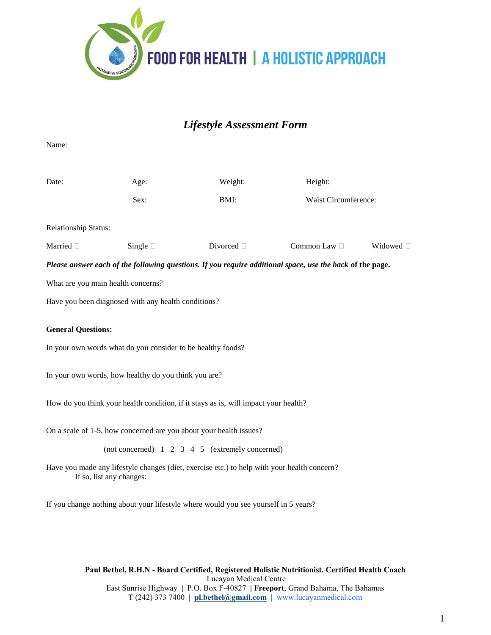

# *Lifestyle Assessment Form*

Name:

| Date:                                                                                                                   | Age:                                                                                | Weight:         | Height:                                                                                                   |                |  |  |  |  |
|-------------------------------------------------------------------------------------------------------------------------|-------------------------------------------------------------------------------------|-----------------|-----------------------------------------------------------------------------------------------------------|----------------|--|--|--|--|
|                                                                                                                         | Sex:                                                                                | BMI:            | Waist Circumference:                                                                                      |                |  |  |  |  |
|                                                                                                                         |                                                                                     |                 |                                                                                                           |                |  |  |  |  |
| <b>Relationship Status:</b>                                                                                             |                                                                                     |                 |                                                                                                           |                |  |  |  |  |
| Married <sup>[]</sup>                                                                                                   | Single $\square$                                                                    | Divorced $\Box$ | Common Law $\Box$                                                                                         | Widowed $\Box$ |  |  |  |  |
|                                                                                                                         |                                                                                     |                 | Please answer each of the following questions. If you require additional space, use the back of the page. |                |  |  |  |  |
| What are you main health concerns?                                                                                      |                                                                                     |                 |                                                                                                           |                |  |  |  |  |
|                                                                                                                         | Have you been diagnosed with any health conditions?                                 |                 |                                                                                                           |                |  |  |  |  |
|                                                                                                                         |                                                                                     |                 |                                                                                                           |                |  |  |  |  |
| <b>General Questions:</b>                                                                                               |                                                                                     |                 |                                                                                                           |                |  |  |  |  |
| In your own words what do you consider to be healthy foods?                                                             |                                                                                     |                 |                                                                                                           |                |  |  |  |  |
|                                                                                                                         |                                                                                     |                 |                                                                                                           |                |  |  |  |  |
| In your own words, how healthy do you think you are?                                                                    |                                                                                     |                 |                                                                                                           |                |  |  |  |  |
| How do you think your health condition, if it stays as is, will impact your health?                                     |                                                                                     |                 |                                                                                                           |                |  |  |  |  |
|                                                                                                                         |                                                                                     |                 |                                                                                                           |                |  |  |  |  |
| On a scale of 1-5, how concerned are you about your health issues?                                                      |                                                                                     |                 |                                                                                                           |                |  |  |  |  |
| (not concerned) 1 2 3 4 5 (extremely concerned)                                                                         |                                                                                     |                 |                                                                                                           |                |  |  |  |  |
| Have you made any lifestyle changes (diet, exercise etc.) to help with your health concern?<br>If so, list any changes: |                                                                                     |                 |                                                                                                           |                |  |  |  |  |
|                                                                                                                         | If you change nothing about your lifestyle where would you see yourself in 5 years? |                 |                                                                                                           |                |  |  |  |  |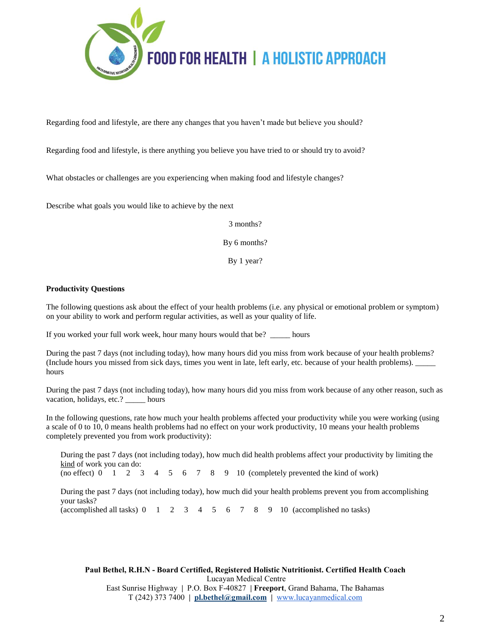

Regarding food and lifestyle, are there any changes that you haven't made but believe you should?

Regarding food and lifestyle, is there anything you believe you have tried to or should try to avoid?

What obstacles or challenges are you experiencing when making food and lifestyle changes?

Describe what goals you would like to achieve by the next

3 months?

By 6 months?

By 1 year?

### **Productivity Questions**

The following questions ask about the effect of your health problems (i.e. any physical or emotional problem or symptom) on your ability to work and perform regular activities, as well as your quality of life.

If you worked your full work week, hour many hours would that be? \_\_\_\_\_ hours

During the past 7 days (not including today), how many hours did you miss from work because of your health problems? (Include hours you missed from sick days, times you went in late, left early, etc. because of your health problems). \_\_\_\_\_ hours

During the past 7 days (not including today), how many hours did you miss from work because of any other reason, such as vacation, holidays, etc.? \_\_\_\_\_ hours

In the following questions, rate how much your health problems affected your productivity while you were working (using a scale of 0 to 10, 0 means health problems had no effect on your work productivity, 10 means your health problems completely prevented you from work productivity):

During the past 7 days (not including today), how much did health problems affect your productivity by limiting the kind of work you can do:

(no effect)  $0 \quad 1 \quad 2 \quad 3 \quad 4 \quad 5 \quad 6 \quad 7 \quad 8 \quad 9 \quad 10$  (completely prevented the kind of work)

During the past 7 days (not including today), how much did your health problems prevent you from accomplishing your tasks? (accomplished all tasks)  $0 \quad 1 \quad 2 \quad 3 \quad 4 \quad 5 \quad 6 \quad 7 \quad 8 \quad 9 \quad 10$  (accomplished no tasks)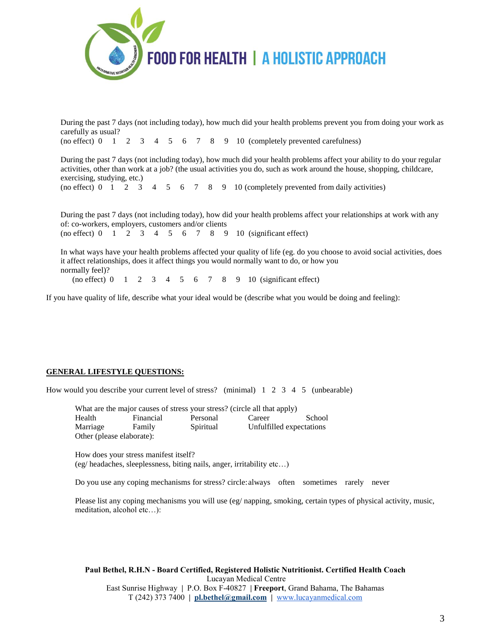

During the past 7 days (not including today), how much did your health problems prevent you from doing your work as carefully as usual?

(no effect)  $0 \quad 1 \quad 2 \quad 3 \quad 4 \quad 5 \quad 6 \quad 7 \quad 8 \quad 9 \quad 10$  (completely prevented carefulness)

During the past 7 days (not including today), how much did your health problems affect your ability to do your regular activities, other than work at a job? (the usual activities you do, such as work around the house, shopping, childcare, exercising, studying, etc.)

(no effect)  $0 \quad 1 \quad 2 \quad 3 \quad 4 \quad 5 \quad 6 \quad 7 \quad 8 \quad 9 \quad 10$  (completely prevented from daily activities)

During the past 7 days (not including today), how did your health problems affect your relationships at work with any of: co-workers, employers, customers and/or clients  $(no \text{ effect})$  0 1 2 3 4 5 6 7 8 9 10 (significant effect)

In what ways have your health problems affected your quality of life (eg. do you choose to avoid social activities, does it affect relationships, does it affect things you would normally want to do, or how you normally feel)?

(no effect) 0 1 2 3 4 5 6 7 8 9 10 (significant effect)

If you have quality of life, describe what your ideal would be (describe what you would be doing and feeling):

### **GENERAL LIFESTYLE QUESTIONS:**

How would you describe your current level of stress? (minimal) 1 2 3 4 5 (unbearable)

| What are the major causes of stress your stress? (circle all that apply) |           |           |                          |        |  |  |
|--------------------------------------------------------------------------|-----------|-----------|--------------------------|--------|--|--|
| Health                                                                   | Financial | Personal  | Career                   | School |  |  |
| Marriage                                                                 | Family    | Spiritual | Unfulfilled expectations |        |  |  |
| Other (please elaborate):                                                |           |           |                          |        |  |  |

How does your stress manifest itself? (eg/ headaches, sleeplessness, biting nails, anger, irritability etc…)

Do you use any coping mechanisms for stress? circle:always often sometimes rarely never

Please list any coping mechanisms you will use (eg/ napping, smoking, certain types of physical activity, music, meditation, alcohol etc…):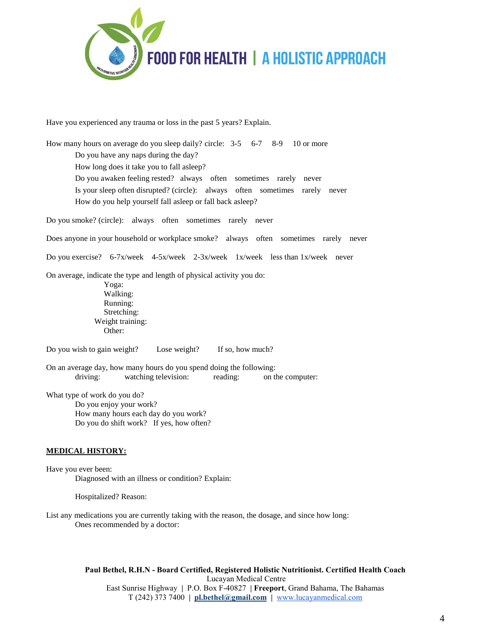

Have you experienced any trauma or loss in the past 5 years? Explain.

How many hours on average do you sleep daily? circle: 3-5 6-7 8-9 10 or more Do you have any naps during the day? How long does it take you to fall asleep? Do you awaken feeling rested? always often sometimes rarely never Is your sleep often disrupted? (circle): always often sometimes rarely never How do you help yourself fall asleep or fall back asleep? Do you smoke? (circle): always often sometimes rarely never Does anyone in your household or workplace smoke? always often sometimes rarely never Do you exercise? 6-7x/week 4-5x/week 2-3x/week 1x/week less than 1x/week never On average, indicate the type and length of physical activity you do: Yoga: Walking: Running: Stretching: Weight training: Other: Do you wish to gain weight? Lose weight? If so, how much? On an average day, how many hours do you spend doing the following: driving: watching television: reading: on the computer: What type of work do you do? Do you enjoy your work? How many hours each day do you work? Do you do shift work? If yes, how often? **MEDICAL HISTORY:** Have you ever been: Diagnosed with an illness or condition? Explain:

Hospitalized? Reason:

List any medications you are currently taking with the reason, the dosage, and since how long: Ones recommended by a doctor: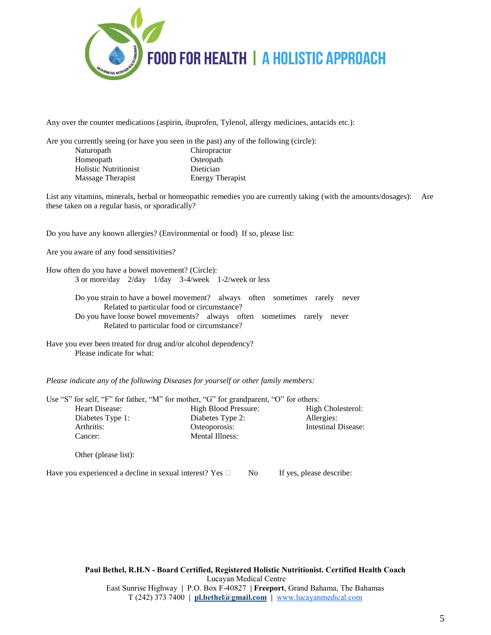

Any over the counter medications (aspirin, ibuprofen, Tylenol, allergy medicines, antacids etc.):

Are you currently seeing (or have you seen in the past) any of the following (circle): Naturopath Chiropractor Homeopath Osteopath Holistic Nutritionist Dietician Massage Therapist Energy Therapist

List any vitamins, minerals, herbal or homeopathic remedies you are currently taking (with the amounts/dosages): Are these taken on a regular basis, or sporadically?

Do you have any known allergies? (Environmental or food) If so, please list:

Are you aware of any food sensitivities?

How often do you have a bowel movement? (Circle): 3 or more/day 2/day 1/day 3-4/week 1-2/week or less

> Do you strain to have a bowel movement? always often sometimes rarely never Related to particular food or circumstance? Do you have loose bowel movements? always often sometimes rarely never Related to particular food or circumstance?

Have you ever been treated for drug and/or alcohol dependency? Please indicate for what:

*Please indicate any of the following Diseases for yourself or other family members:*

| Use "S" for self, "F" for father, "M" for mother, "G" for grandparent, "O" for others: |                      |                          |
|----------------------------------------------------------------------------------------|----------------------|--------------------------|
| Heart Disease:                                                                         | High Blood Pressure: | High Cholesterol:        |
| Diabetes Type 1:                                                                       | Diabetes Type 2:     | Allergies:               |
| Arthritis:                                                                             | Osteoporosis:        | Intestinal Disease:      |
| Cancer:                                                                                | Mental Illness:      |                          |
| Other (please list):                                                                   |                      |                          |
| Have you experienced a decline in sexual interest? Yes $\Box$                          | N <sub>0</sub>       | If yes, please describe: |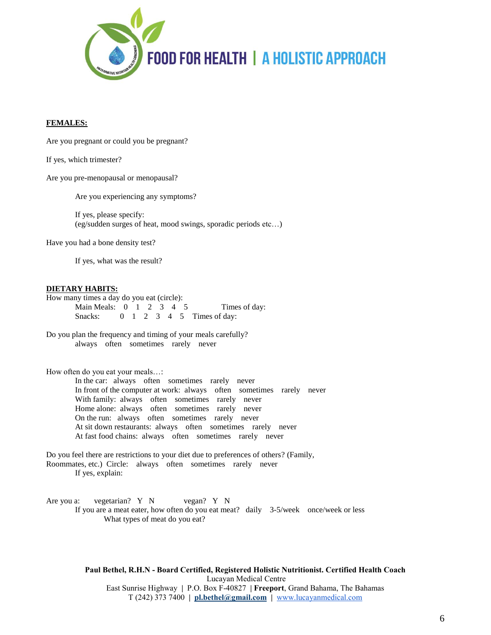

#### **FEMALES:**

Are you pregnant or could you be pregnant?

If yes, which trimester?

Are you pre-menopausal or menopausal?

Are you experiencing any symptoms?

If yes, please specify: (eg/sudden surges of heat, mood swings, sporadic periods etc…)

Have you had a bone density test?

If yes, what was the result?

#### **DIETARY HABITS:**

How many times a day do you eat (circle): Main Meals:  $0 \quad 1 \quad 2 \quad 3 \quad 4 \quad 5$  Times of day: Snacks: 0 1 2 3 4 5 Times of day:

Do you plan the frequency and timing of your meals carefully? always often sometimes rarely never

How often do you eat your meals…:

In the car: always often sometimes rarely never In front of the computer at work: always often sometimes rarely never With family: always often sometimes rarely never Home alone: always often sometimes rarely never On the run: always often sometimes rarely never At sit down restaurants: always often sometimes rarely never At fast food chains: always often sometimes rarely never

Do you feel there are restrictions to your diet due to preferences of others? (Family, Roommates, etc.) Circle: always often sometimes rarely never If yes, explain:

Are you a: vegetarian? Y N vegan? Y N If you are a meat eater, how often do you eat meat? daily 3-5/week once/week or less What types of meat do you eat?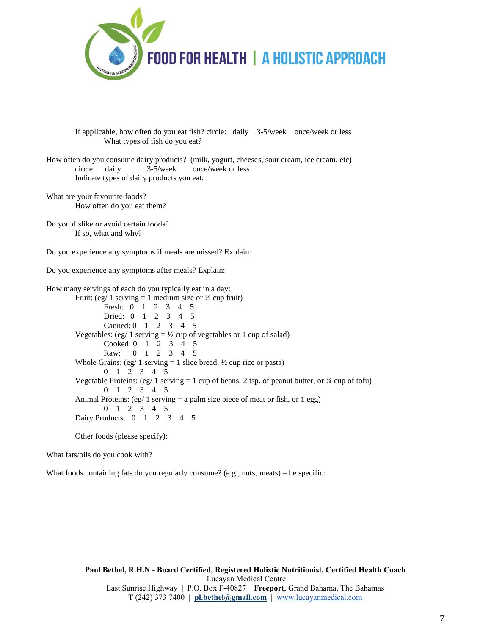

If applicable, how often do you eat fish? circle: daily 3-5/week once/week or less What types of fish do you eat?

How often do you consume dairy products? (milk, yogurt, cheeses, sour cream, ice cream, etc) circle: daily 3-5/week once/week or less Indicate types of dairy products you eat:

What are your favourite foods? How often do you eat them?

Do you dislike or avoid certain foods? If so, what and why?

Do you experience any symptoms if meals are missed? Explain:

Do you experience any symptoms after meals? Explain:

How many servings of each do you typically eat in a day: Fruit: (eg/ 1 serving  $= 1$  medium size or  $\frac{1}{2}$  cup fruit) Fresh: 0 1 2 3 4 5 Dried: 0 1 2 3 4 5 Canned: 0 1 2 3 4 5 Vegetables: (eg/ 1 serving  $= \frac{1}{2}$  cup of vegetables or 1 cup of salad) Cooked: 0 1 2 3 4 5 Raw: 0 1 2 3 4 5 Whole Grains: (eg/ 1 serving  $= 1$  slice bread,  $\frac{1}{2}$  cup rice or pasta) 0 1 2 3 4 5 Vegetable Proteins:  $(eg/1$  serving  $= 1$  cup of beans, 2 tsp. of peanut butter, or  $\frac{3}{4}$  cup of tofu) 0 1 2 3 4 5 Animal Proteins:  $(eg/1$  serving  $= a$  palm size piece of meat or fish, or 1 egg) 0 1 2 3 4 5 Dairy Products: 0 1 2 3 4 5

Other foods (please specify):

What fats/oils do you cook with?

What foods containing fats do you regularly consume? (e.g., nuts, meats) – be specific: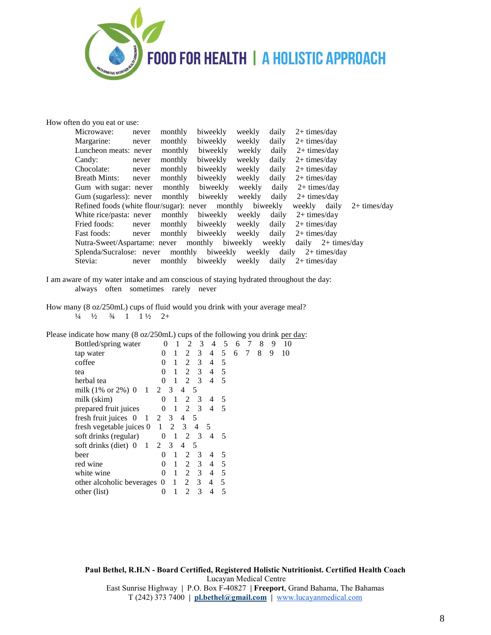

How often do you eat or use:

| Microwave:                                                | never | monthly          | biweekly | weekly | daily        | $2+$ times/day              |                |
|-----------------------------------------------------------|-------|------------------|----------|--------|--------------|-----------------------------|----------------|
| Margarine:                                                | never | monthly          | biweekly | weekly | daily        | $2+$ times/day              |                |
| Luncheon meats: never                                     |       | monthly          | biweekly | weekly | daily        | $2+$ times/day              |                |
| Candy:                                                    | never | monthly          | biweekly | weekly | daily        | $2+$ times/day              |                |
| Chocolate:                                                | never | monthly          | biweekly | weekly | daily        | $2+$ times/day              |                |
| <b>Breath Mints:</b>                                      | never | monthly          | biweekly | weekly | daily        | $2+$ times/day              |                |
| Gum with sugar: never                                     |       | monthly          | biweekly | weekly | daily        | $2+$ times/day              |                |
| Gum (sugarless): never                                    |       | monthly          | biweekly | weekly | daily        | $2+$ times/day              |                |
| Refined foods (white flour/sugar): never monthly biweekly |       |                  |          |        |              | weekly daily                | $2+$ times/day |
| White rice/pasta: never                                   |       | monthly          | biweekly | weekly | daily        | $2+$ times/day              |                |
| Fried foods:                                              | never | monthly          | biweekly | weekly | daily        | $2+$ times/day              |                |
| Fast foods:                                               | never | monthly biweekly |          | weekly | daily        | $2+$ times/day              |                |
| Nutra-Sweet/Aspartame: never monthly biweekly             |       |                  |          |        | weekly       | daily $2+ \text{times/day}$ |                |
| Splenda/Sucralose: never monthly biweekly                 |       |                  |          |        | weekly daily | $2+$ times/day              |                |
| Stevia:                                                   | never | monthly          | biweekly | weekly | daily        | $2+$ times/day              |                |

- I am aware of my water intake and am conscious of staying hydrated throughout the day: always often sometimes rarely never
- How many (8 oz/250mL) cups of fluid would you drink with your average meal?  $\frac{1}{4}$   $\frac{1}{2}$   $\frac{3}{4}$  1  $\frac{1}{2}$  2+

Please indicate how many (8 oz/250mL) cups of the following you drink <u>per day</u>:<br>Bottled/spring water  $\begin{array}{cccccc} 0 & 1 & 2 & 3 & 4 & 5 & 6 & 7 & 8 & 9 & 10 \end{array}$ 

| Bottled/spring water                 |                |                | 2                           | 3              | 4 | 5   | 6 |   | 8 | 9 | 10 |
|--------------------------------------|----------------|----------------|-----------------------------|----------------|---|-----|---|---|---|---|----|
| tap water                            | $\Omega$       | 1              | 2                           | $\mathbf{3}$   | 4 | 5   | 6 | 7 | 8 | 9 | 10 |
| coffee                               | $\Omega$       | 1              |                             | $2 \quad 3$    | 4 | 5   |   |   |   |   |    |
| tea                                  | 0              | 1              |                             | $2 \quad 3$    | 4 | 5   |   |   |   |   |    |
| herbal tea                           | 0              | $\overline{1}$ | $\mathcal{D}_{\mathcal{L}}$ | $\overline{3}$ | 4 | 5   |   |   |   |   |    |
| milk $(1\% \text{ or } 2\%)$ 0 1 2 3 |                |                | 4                           | 5              |   |     |   |   |   |   |    |
| milk (skim)                          | $\Omega$       | 1              | 2                           | 3              | 4 | 5   |   |   |   |   |    |
| prepared fruit juices                | 0              | $\overline{1}$ | $\overline{2}$              | $\mathcal{E}$  | 4 | - 5 |   |   |   |   |    |
| fresh fruit juices 0<br>-1           |                | 2 3            | 4                           | -5             |   |     |   |   |   |   |    |
| fresh vegetable juices 0             | $\overline{1}$ | 2              | $\overline{\mathbf{3}}$     | 4              | 5 |     |   |   |   |   |    |
| soft drinks (regular)                | $\theta$       | $\overline{1}$ | 2 3                         |                | 4 | -5  |   |   |   |   |    |
| soft drinks (diet) 0<br>1 2 3        |                |                | 4                           | 5              |   |     |   |   |   |   |    |
| beer                                 | $\Omega$       | 1              | 2                           | 3              | 4 | 5   |   |   |   |   |    |
| red wine                             | 0              | 1              | 2                           | 3              | 4 | 5   |   |   |   |   |    |
| white wine                           | 0              | 1              | 2                           | $\mathfrak{Z}$ | 4 | - 5 |   |   |   |   |    |
| other alcoholic beverages 0          |                | -1             | 2                           | 3              | 4 | 5   |   |   |   |   |    |
| other (list)                         | $_{0}$         |                | $\mathfrak{D}$              | 3              |   | 5   |   |   |   |   |    |
|                                      |                |                |                             |                |   |     |   |   |   |   |    |